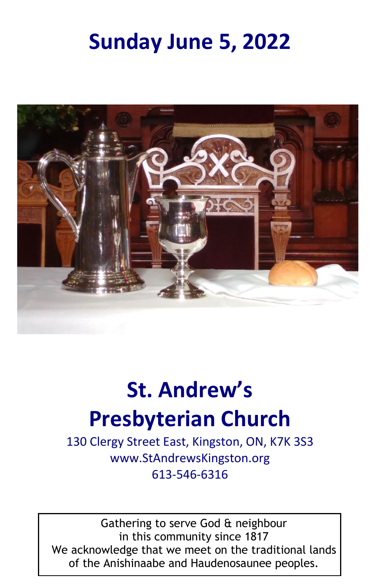# **Sunday June 5, 2022**



# **St. Andrew's**

# **Presbyterian Church**

130 Clergy Street East, Kingston, ON, K7K 3S3 www.StAndrewsKingston.org 613-546-6316

Gathering to serve God & neighbour in this community since 1817 We acknowledge that we meet on the traditional lands of the Anishinaabe and Haudenosaunee peoples.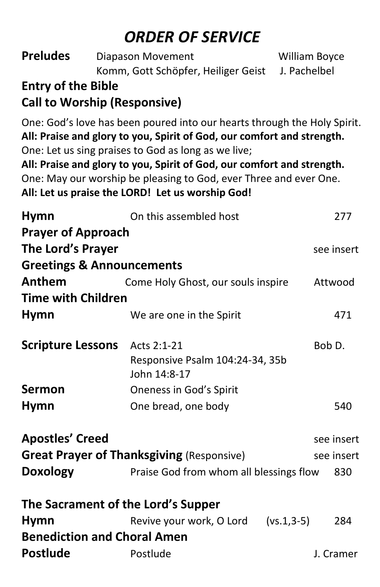# *ORDER OF SERVICE*

| <b>Preludes</b>           | Diapason Movement                                                                                                                                                                                                                                                                                                                                                                                            | William Boyce |
|---------------------------|--------------------------------------------------------------------------------------------------------------------------------------------------------------------------------------------------------------------------------------------------------------------------------------------------------------------------------------------------------------------------------------------------------------|---------------|
|                           | Komm, Gott Schöpfer, Heiliger Geist<br>J. Pachelbel                                                                                                                                                                                                                                                                                                                                                          |               |
| <b>Entry of the Bible</b> |                                                                                                                                                                                                                                                                                                                                                                                                              |               |
|                           | <b>Call to Worship (Responsive)</b>                                                                                                                                                                                                                                                                                                                                                                          |               |
|                           | One: God's love has been poured into our hearts through the Holy Spirit.<br>All: Praise and glory to you, Spirit of God, our comfort and strength.<br>One: Let us sing praises to God as long as we live;<br>All: Praise and glory to you, Spirit of God, our comfort and strength.<br>One: May our worship be pleasing to God, ever Three and ever One.<br>All: Let us praise the LORD! Let us worship God! |               |
| <b>Hymn</b>               | On this assembled host                                                                                                                                                                                                                                                                                                                                                                                       | 277           |
| <b>Prayer of Approach</b> |                                                                                                                                                                                                                                                                                                                                                                                                              |               |
| The Lord's Prayer         |                                                                                                                                                                                                                                                                                                                                                                                                              | see insert    |
|                           | <b>Greetings &amp; Announcements</b>                                                                                                                                                                                                                                                                                                                                                                         |               |
| Anthem                    | Come Holy Ghost, our souls inspire                                                                                                                                                                                                                                                                                                                                                                           | Attwood       |
| <b>Time with Children</b> |                                                                                                                                                                                                                                                                                                                                                                                                              |               |
| <b>Hymn</b>               | We are one in the Spirit                                                                                                                                                                                                                                                                                                                                                                                     | 471           |
| <b>Scripture Lessons</b>  | Acts 2:1-21<br>Responsive Psalm 104:24-34, 35b<br>John 14:8-17                                                                                                                                                                                                                                                                                                                                               | Bob D.        |
| <b>Sermon</b>             | Oneness in God's Spirit                                                                                                                                                                                                                                                                                                                                                                                      |               |
| <b>Hymn</b>               | One bread, one body                                                                                                                                                                                                                                                                                                                                                                                          | 540           |
| <b>Apostles' Creed</b>    |                                                                                                                                                                                                                                                                                                                                                                                                              | see insert    |
|                           | <b>Great Prayer of Thanksgiving (Responsive)</b>                                                                                                                                                                                                                                                                                                                                                             | see insert    |
|                           | <b>Doxology</b> Praise God from whom all blessings flow 830                                                                                                                                                                                                                                                                                                                                                  |               |
|                           | The Sacrament of the Lord's Supper                                                                                                                                                                                                                                                                                                                                                                           |               |
| <b>Hymn</b>               | Revive your work, O Lord<br>$(vs.1, 3-5)$                                                                                                                                                                                                                                                                                                                                                                    | 284           |
|                           | <b>Benediction and Choral Amen</b>                                                                                                                                                                                                                                                                                                                                                                           |               |
| <b>Postlude</b>           | Postlude                                                                                                                                                                                                                                                                                                                                                                                                     | J. Cramer     |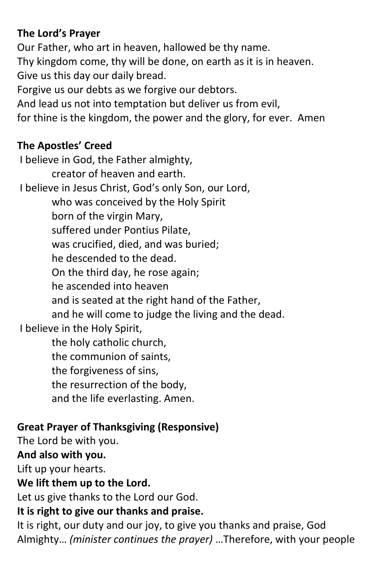#### **The Lord's Prayer**

Our Father, who art in heaven, hallowed be thy name. Thy kingdom come, thy will be done, on earth as it is in heaven. Give us this day our daily bread. Forgive us our debts as we forgive our debtors. And lead us not into temptation but deliver us from evil, for thine is the kingdom, the power and the glory, for ever. Amen

#### **The Apostles' Creed**

I believe in God, the Father almighty, creator of heaven and earth. I believe in Jesus Christ, God's only Son, our Lord, who was conceived by the Holy Spirit born of the virgin Mary, suffered under Pontius Pilate, was crucified, died, and was buried; he descended to the dead. On the third day, he rose again; he ascended into heaven and is seated at the right hand of the Father, and he will come to judge the living and the dead. I believe in the Holy Spirit, the holy catholic church, the communion of saints, the forgiveness of sins, the resurrection of the body, and the life everlasting. Amen.

#### **Great Prayer of Thanksgiving (Responsive)**

The Lord be with you.

#### **And also with you.**

Lift up your hearts.

#### **We lift them up to the Lord.**

Let us give thanks to the Lord our God.

#### **It is right to give our thanks and praise.**

It is right, our duty and our joy, to give you thanks and praise, God Almighty… *(minister continues the prayer)* …Therefore, with your people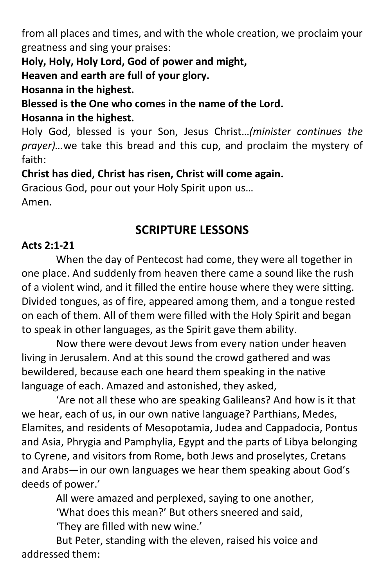from all places and times, and with the whole creation, we proclaim your greatness and sing your praises:

**Holy, Holy, Holy Lord, God of power and might,**

**Heaven and earth are full of your glory.**

**Hosanna in the highest.**

**Blessed is the One who comes in the name of the Lord.** 

#### **Hosanna in the highest.**

Holy God, blessed is your Son, Jesus Christ…*(minister continues the prayer)…*we take this bread and this cup, and proclaim the mystery of faith:

**Christ has died, Christ has risen, Christ will come again.**

Gracious God, pour out your Holy Spirit upon us…

Amen.

### **SCRIPTURE LESSONS**

#### **Acts 2:1-21**

When the day of Pentecost had come, they were all together in one place. And suddenly from heaven there came a sound like the rush of a violent wind, and it filled the entire house where they were sitting. Divided tongues, as of fire, appeared among them, and a tongue rested on each of them. All of them were filled with the Holy Spirit and began to speak in other languages, as the Spirit gave them ability.

Now there were devout Jews from every nation under heaven living in Jerusalem. And at this sound the crowd gathered and was bewildered, because each one heard them speaking in the native language of each. Amazed and astonished, they asked,

'Are not all these who are speaking Galileans? And how is it that we hear, each of us, in our own native language? Parthians, Medes, Elamites, and residents of Mesopotamia, Judea and Cappadocia, Pontus and Asia, Phrygia and Pamphylia, Egypt and the parts of Libya belonging to Cyrene, and visitors from Rome, both Jews and proselytes, Cretans and Arabs—in our own languages we hear them speaking about God's deeds of power.'

> All were amazed and perplexed, saying to one another, 'What does this mean?' But others sneered and said, 'They are filled with new wine.'

But Peter, standing with the eleven, raised his voice and addressed them: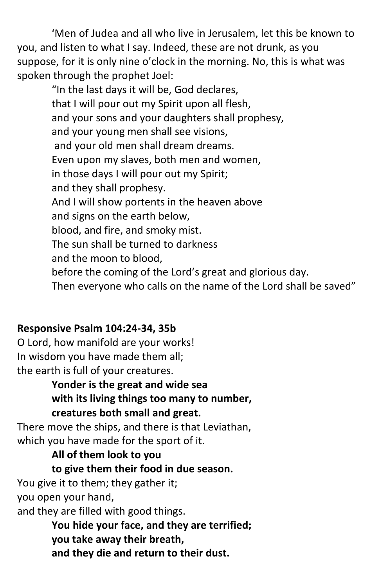'Men of Judea and all who live in Jerusalem, let this be known to you, and listen to what I say. Indeed, these are not drunk, as you suppose, for it is only nine o'clock in the morning. No, this is what was spoken through the prophet Joel:

"In the last days it will be, God declares, that I will pour out my Spirit upon all flesh, and your sons and your daughters shall prophesy, and your young men shall see visions, and your old men shall dream dreams. Even upon my slaves, both men and women, in those days I will pour out my Spirit; and they shall prophesy. And I will show portents in the heaven above and signs on the earth below, blood, and fire, and smoky mist. The sun shall be turned to darkness and the moon to blood, before the coming of the Lord's great and glorious day. Then everyone who calls on the name of the Lord shall be saved"

#### **Responsive Psalm 104:24-34, 35b**

O Lord, how manifold are your works! In wisdom you have made them all; the earth is full of your creatures.

> **Yonder is the great and wide sea with its living things too many to number, creatures both small and great.**

There move the ships, and there is that Leviathan, which you have made for the sport of it.

#### **All of them look to you**

#### **to give them their food in due season.**

You give it to them; they gather it; you open your hand,

and they are filled with good things.

**You hide your face, and they are terrified; you take away their breath, and they die and return to their dust.**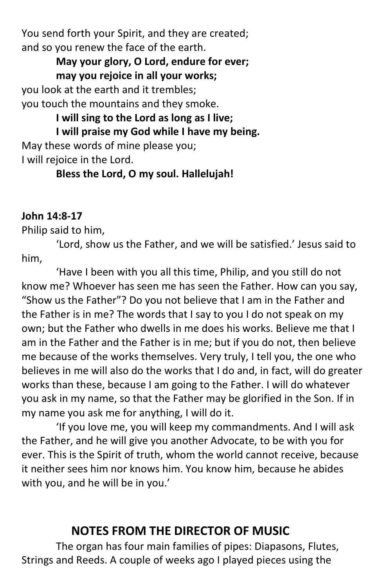You send forth your Spirit, and they are created; and so you renew the face of the earth.

#### **May your glory, O Lord, endure for ever; may you rejoice in all your works;**

you look at the earth and it trembles; you touch the mountains and they smoke.

**I will sing to the Lord as long as I live; I will praise my God while I have my being.** May these words of mine please you;

I will rejoice in the Lord.

#### **Bless the Lord, O my soul. Hallelujah!**

### **John 14:8-17**

#### Philip said to him,

'Lord, show us the Father, and we will be satisfied.' Jesus said to him,

'Have I been with you all this time, Philip, and you still do not know me? Whoever has seen me has seen the Father. How can you say, "Show us the Father"? Do you not believe that I am in the Father and the Father is in me? The words that I say to you I do not speak on my own; but the Father who dwells in me does his works. Believe me that I am in the Father and the Father is in me; but if you do not, then believe me because of the works themselves. Very truly, I tell you, the one who believes in me will also do the works that I do and, in fact, will do greater works than these, because I am going to the Father. I will do whatever you ask in my name, so that the Father may be glorified in the Son. If in my name you ask me for anything, I will do it.

'If you love me, you will keep my commandments. And I will ask the Father, and he will give you another Advocate, to be with you for ever. This is the Spirit of truth, whom the world cannot receive, because it neither sees him nor knows him. You know him, because he abides with you, and he will be in you.'

# **NOTES FROM THE DIRECTOR OF MUSIC**

The organ has four main families of pipes: Diapasons, Flutes, Strings and Reeds. A couple of weeks ago I played pieces using the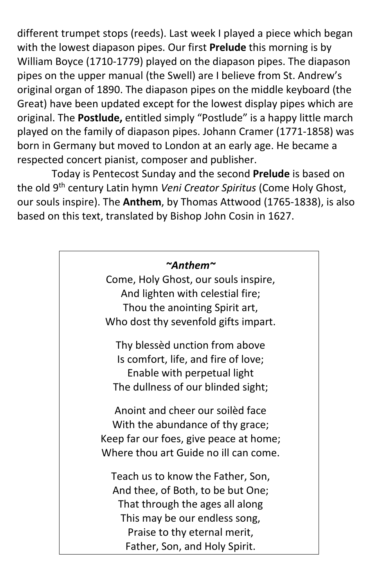different trumpet stops (reeds). Last week I played a piece which began with the lowest diapason pipes. Our first **Prelude** this morning is by William Boyce (1710-1779) played on the diapason pipes. The diapason pipes on the upper manual (the Swell) are I believe from St. Andrew's original organ of 1890. The diapason pipes on the middle keyboard (the Great) have been updated except for the lowest display pipes which are original. The **Postlude,** entitled simply "Postlude" is a happy little march played on the family of diapason pipes. Johann Cramer (1771-1858) was born in Germany but moved to London at an early age. He became a respected concert pianist, composer and publisher.

Today is Pentecost Sunday and the second **Prelude** is based on the old 9th century Latin hymn *Veni Creator Spiritus* (Come Holy Ghost, our souls inspire). The **Anthem**, by Thomas Attwood (1765-1838), is also based on this text, translated by Bishop John Cosin in 1627.

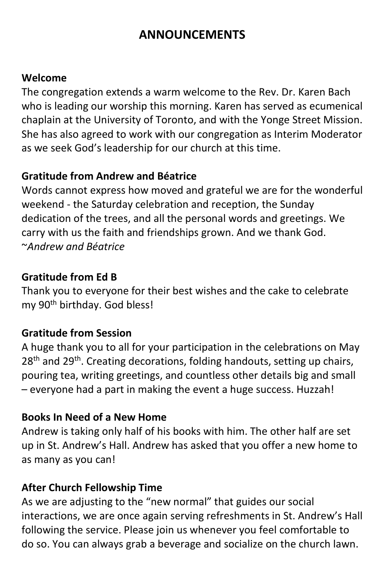# **ANNOUNCEMENTS**

#### **Welcome**

The congregation extends a warm welcome to the Rev. Dr. Karen Bach who is leading our worship this morning. Karen has served as ecumenical chaplain at the University of Toronto, and with the Yonge Street Mission. She has also agreed to work with our congregation as Interim Moderator as we seek God's leadership for our church at this time.

#### **Gratitude from Andrew and Béatrice**

Words cannot express how moved and grateful we are for the wonderful weekend - the Saturday celebration and reception, the Sunday dedication of the trees, and all the personal words and greetings. We carry with us the faith and friendships grown. And we thank God. ~*Andrew and Béatrice*

#### **Gratitude from Ed B**

Thank you to everyone for their best wishes and the cake to celebrate my 90th birthday. God bless!

#### **Gratitude from Session**

A huge thank you to all for your participation in the celebrations on May  $28<sup>th</sup>$  and  $29<sup>th</sup>$ . Creating decorations, folding handouts, setting up chairs, pouring tea, writing greetings, and countless other details big and small – everyone had a part in making the event a huge success. Huzzah!

#### **Books In Need of a New Home**

Andrew is taking only half of his books with him. The other half are set up in St. Andrew's Hall. Andrew has asked that you offer a new home to as many as you can!

#### **After Church Fellowship Time**

As we are adjusting to the "new normal" that guides our social interactions, we are once again serving refreshments in St. Andrew's Hall following the service. Please join us whenever you feel comfortable to do so. You can always grab a beverage and socialize on the church lawn.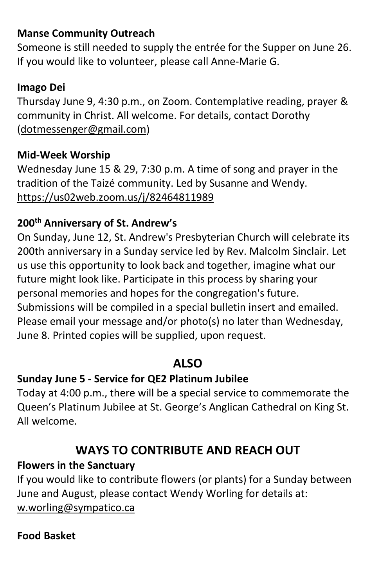#### **Manse Community Outreach**

Someone is still needed to supply the entrée for the Supper on June 26. If you would like to volunteer, please call Anne-Marie G.

#### **Imago Dei**

Thursday June 9, 4:30 p.m., on Zoom. Contemplative reading, prayer & community in Christ. All welcome. For details, contact Dorothy [\(dotmessenger@gmail.com\)](mailto:dotmessenger@gmail.com)

#### **Mid-Week Worship**

Wednesday June 15 & 29, 7:30 p.m. A time of song and prayer in the tradition of the Taizé community. Led by Susanne and Wendy. <https://us02web.zoom.us/j/82464811989>

### **200th Anniversary of St. Andrew's**

On Sunday, June 12, St. Andrew's Presbyterian Church will celebrate its 200th anniversary in a Sunday service led by Rev. Malcolm Sinclair. Let us use this opportunity to look back and together, imagine what our future might look like. Participate in this process by sharing your personal memories and hopes for the congregation's future. Submissions will be compiled in a special bulletin insert and emailed. Please email your message and/or photo(s) no later than Wednesday, June 8. Printed copies will be supplied, upon request.

# **ALSO**

#### **Sunday June 5 - Service for QE2 Platinum Jubilee**

Today at 4:00 p.m., there will be a special service to commemorate the Queen's Platinum Jubilee at St. George's Anglican Cathedral on King St. All welcome.

# **WAYS TO CONTRIBUTE AND REACH OUT**

#### **Flowers in the Sanctuary**

If you would like to contribute flowers (or plants) for a Sunday between June and August, please contact Wendy Worling for details at: w.worling@sympatico.ca

#### **Food Basket**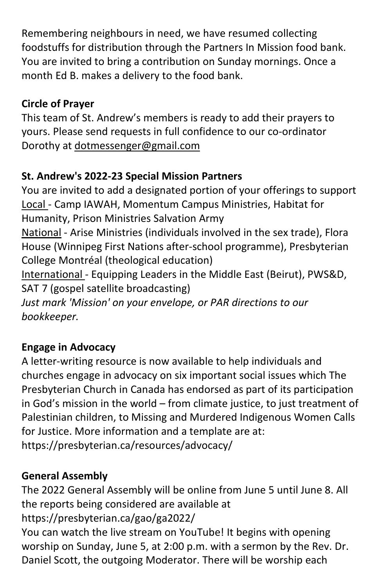Remembering neighbours in need, we have resumed collecting foodstuffs for distribution through the Partners In Mission food bank. You are invited to bring a contribution on Sunday mornings. Once a month Ed B. makes a delivery to the food bank.

### **Circle of Prayer**

This team of St. Andrew's members is ready to add their prayers to yours. Please send requests in full confidence to our co-ordinator Dorothy at [dotmessenger@gmail.com](mailto:dotmessenger@gmail.com)

### **St. Andrew's 2022-23 Special Mission Partners**

You are invited to add a designated portion of your offerings to support Local - Camp IAWAH, Momentum Campus Ministries, Habitat for Humanity, Prison Ministries Salvation Army National - Arise Ministries (individuals involved in the sex trade), Flora House (Winnipeg First Nations after-school programme), Presbyterian College Montréal (theological education) International - Equipping Leaders in the Middle East (Beirut), PWS&D, SAT 7 (gospel satellite broadcasting) *Just mark 'Mission' on your envelope, or PAR directions to our bookkeeper.*

#### **Engage in Advocacy**

A letter-writing resource is now available to help individuals and churches engage in advocacy on six important social issues which The Presbyterian Church in Canada has endorsed as part of its participation in God's mission in the world – from climate justice, to just treatment of Palestinian children, to Missing and Murdered Indigenous Women Calls for Justice. More information and a template are at: https://presbyterian.ca/resources/advocacy/

#### **General Assembly**

The 2022 General Assembly will be online from June 5 until June 8. All the reports being considered are available at https://presbyterian.ca/gao/ga2022/

You can watch the live stream on YouTube! It begins with opening worship on Sunday, June 5, at 2:00 p.m. with a sermon by the Rev. Dr. Daniel Scott, the outgoing Moderator. There will be worship each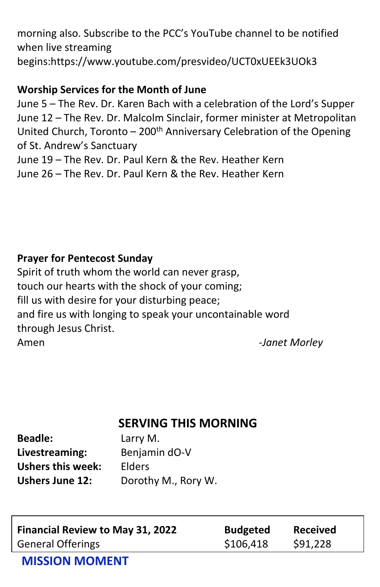morning also. Subscribe to the PCC's YouTube channel to be notified when live streaming begins:https://www.youtube.com/presvideo/UCT0xUEEk3UOk3

#### **Worship Services for the Month of June**

June 5 – The Rev. Dr. Karen Bach with a celebration of the Lord's Supper June 12 – The Rev. Dr. Malcolm Sinclair, former minister at Metropolitan United Church, Toronto  $-200$ <sup>th</sup> Anniversary Celebration of the Opening of St. Andrew's Sanctuary June 19 – The Rev. Dr. Paul Kern & the Rev. Heather Kern

June 26 – The Rev. Dr. Paul Kern & the Rev. Heather Kern

#### **Prayer for Pentecost Sunday**

Spirit of truth whom the world can never grasp, touch our hearts with the shock of your coming; fill us with desire for your disturbing peace; and fire us with longing to speak your uncontainable word through Jesus Christ. Amen -*Janet Morley*

# **SERVING THIS MORNING**

| <b>Beadle:</b>           | Larry M.            |
|--------------------------|---------------------|
| Livestreaming:           | Benjamin dO-V       |
| <b>Ushers this week:</b> | Elders              |
| <b>Ushers June 12:</b>   | Dorothy M., Rory W. |

| <b>Financial Review to May 31, 2022</b> | <b>Budgeted</b> | <b>Received</b> |
|-----------------------------------------|-----------------|-----------------|
| <b>General Offerings</b>                | \$106,418       | \$91,228        |

#### **MISSION MOMENT**